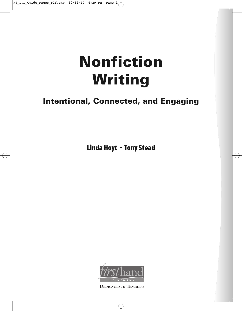# **Nonfiction Writing**

# **Intentional, Connected, and Engaging**

Linda Hoyt • Tony Stead



**DEDICATED TO TEACHERS**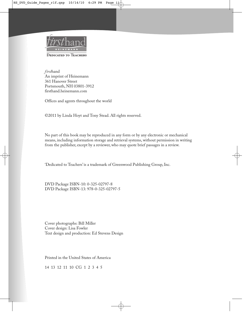

*first*hand An imprint of Heinemann 361 Hanover Street Portsmouth, NH 03801-3912 firsthand.heinemann.com

Offices and agents throughout the world

©2011 by Linda Hoyt and Tony Stead. All rights reserved.

No part of this book may be reproduced in any form or by any electronic or mechanical means, including information storage and retrieval systems, without permission in writing from the publisher, except by a reviewer, who may quote brief passages in a review.

'Dedicated to Teachers' is a trademark of Greenwood Publishing Group, Inc.

DVD Package ISBN-10: 0-325-02797-8 DVD Package ISBN-13: 978-0-325-02797-5

Cover photographs: Bill Miller Cover design: Lisa Fowler Text design and production: Ed Stevens Design

Printed in the United States of America

14 13 12 11 10 CG 1 2 3 4 5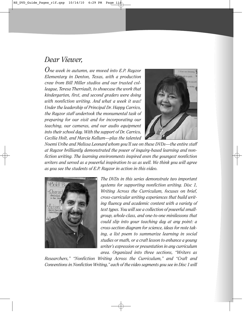## *Dear Viewer,*

*One week in autumn, we moved into E.P. Rayzor Elementary in Denton, Texas, with a production crew from Bill Miller studios and our trusted colleague, Teresa Therriault, to showcase the work that kindergarten, first, and second graders were doing with nonfiction writing. And what a week it was! Under the leadership of Principal Dr. Happy Carrico, the Rayzor staff undertook the monumental task of preparing for our visit and for incorporating our teaching, our cameras, and our audio equipment into their school day. With the support of Dr. Carrico, Cecilia Holt, and Marcia Kellum—plus the talented*



*Noemi Uribe and Melissa Leonard whom you'll see on these DVDs—the entire staff at Rayzor brilliantly demonstrated the power of inquiry-based learning and nonfiction writing. The learning environments inspired even the youngest nonfiction writers and served as a powerful inspiration to us as well. We think you will agree as you see the students of E.P. Rayzor in action in this video.*



*The DVDs in this series demonstrate two important systems for supporting nonfiction writing. Disc 1, Writing Across the Curriculum, focuses on brief, cross-curricular writing experiences that build writing fluency and academic content with a variety of text types. You will see a collection of powerful smallgroup, whole-class, and one-to-one minilessons that could slip into your teaching day at any point: a cross-section diagram for science, ideas for note taking, a list poem to summarize learning in social studies or math, or a craft lesson to enhance a young writer's expression or presentation in any curriculum area. Organized into three sections, "Writers as*

*Researchers," "Nonfiction Writing Across the Curriculum," and "Craft and Conventions in Nonfiction Writing," each of the video segments you see in Disc 1 will*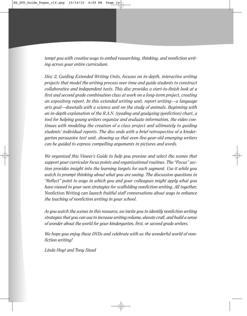*tempt you with creative ways to embed researching, thinking, and nonfiction writing across your entire curriculum.*

*Disc 2, Guiding Extended Writing Units, focuses on in-depth, interactive writing projects that model the writing process over time and guide students to construct collaborative and independent texts. This disc provides a start-to-finish look at a first and second grade combination class at work on a long-term project, creating an expository report. In this extended writing unit, report writing—a language arts goal—dovetails with a science unit on the study of animals. Beginning with an in-depth explanation of the R.A.N. (reading and analyzing nonfiction) chart, a tool for helping young writers organize and evaluate information, the video continues with modeling the creation of a class project and ultimately to guiding students' individual reports. The disc ends with a brief retrospective of a kindergarten persuasive text unit, showing us that even five-year-old emerging writers can be guided to express compelling arguments in pictures and words.*

*We organized this Viewer's Guide to help you preview and select the scenes that support your curricular focus points and organizational routines. The "Focus" section provides insight into the learning targets for each segment. Use it while you watch to prompt thinking about what you are seeing. The discussion questions in "Reflect" point to ways in which you and your colleagues might apply what you have viewed to your own strategies for scaffolding nonfiction writing. All together,* Nonfiction Writing *can launch fruitful staff conversations about ways to enhance the teaching of nonfiction writing in your school.* 

*As you watch the scenes in this resource, we invite you to identify nonfiction writing strategies that you can use to increase writing volume, elevate craft, and build a sense of wonder about the world for your kindergarten, first, or second grade writers.*

*We hope you enjoy these DVDs and celebrate with us the wonderful world of nonfiction writing!*

*Linda Hoyt and Tony Stead*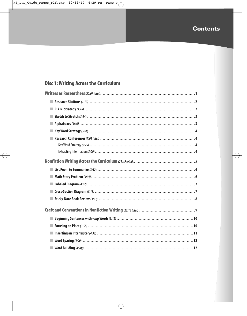## **Contents**

## **Disc 1: Writing Across the Curriculum**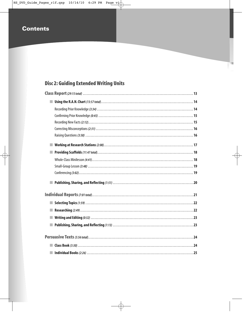## **Contents**

## **Disc 2: Guiding Extended Writing Units**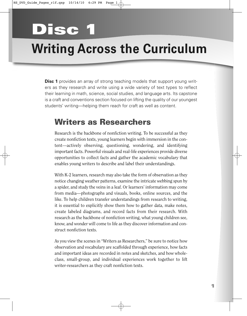# **Disc 1**

# **Writing Across the Curriculum**

**Disc 1** provides an array of strong teaching models that support young writers as they research and write using a wide variety of text types to reflect their learning in math, science, social studies, and language arts. Its capstone is a craft and conventions section focused on lifting the quality of our youngest students' writing—helping them reach for craft as well as content.

## **Writers as Researchers**

Research is the backbone of nonfiction writing. To be successful as they create nonfiction texts, young learners begin with immersion in the content—actively observing, questioning, wondering, and identifying important facts. Powerful visuals and real-life experiences provide diverse opportunities to collect facts and gather the academic vocabulary that enables young writers to describe and label their understandings.

With K-2 learners, research may also take the form of observation as they notice changing weather patterns, examine the intricate webbing spun by a spider, and study the veins in a leaf. Or learners' information may come from media—photographs and visuals, books, online sources, and the like. To help children transfer understandings from research to writing, it is essential to explicitly show them how to gather data, make notes, create labeled diagrams, and record facts from their research. With research as the backbone of nonfiction writing, what young children see, know, and wonder will come to life as they discover information and construct nonfiction texts.

As you view the scenes in "Writers as Researchers," be sure to notice how observation and vocabulary are scaffolded through experience, how facts and important ideas are recorded in notes and sketches, and how wholeclass, small-group, and individual experiences work together to lift writer-researchers as they craft nonfiction texts.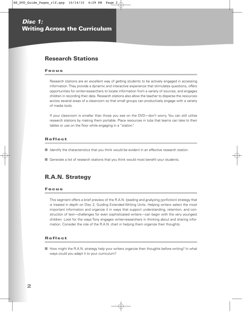## **Research Stations**

#### **Focus**

Research stations are an excellent way of getting students to be actively engaged in accessing information. They provide a dynamic and interactive experience that stimulates questions, offers opportunities for writer-researchers to locate information from a variety of sources, and engages children in recording their data. Research stations also allow the teacher to disperse the resources across several areas of a classroom so that small groups can productively engage with a variety of media tools.

If your classroom is smaller than those you see on the DVD—don't worry. You can still utilize research stations by making them portable. Place resources in tubs that teams can take to their tables or use on the floor while engaging in a "station."

#### **Reflect**

- Identify the characteristics that you think would be evident in an effective research station.
- Generate a list of research stations that you think would most benefit your students.

## **R.A.N. Strategy**

#### **Focus**

This segment offers a brief preview of the R.A.N. (reading and analyzing nonfiction) strategy that is treated in depth on Disc 2, Guiding Extended Writing Units. Helping writers select the most important information and organize it in ways that support understanding, retention, and construction of text—challenges for even sophisticated writers—can begin with the very youngest children. Look for the ways Tony engages writer-researchers in thinking about and sharing information. Consider the role of the R.A.N. chart in helping them organize their thoughts.

#### **Reflect**

■ How might the R.A.N. strategy help your writers organize their thoughts before writing? In what ways could you adapt it to your curriculum?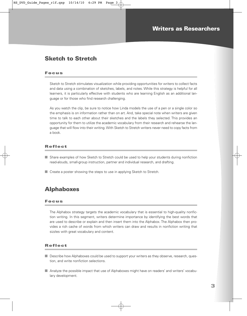## **Sketch to Stretch**

#### **Focus**

Sketch to Stretch stimulates visualization while providing opportunities for writers to collect facts and data using a combination of sketches, labels, and notes. While this strategy is helpful for all learners, it is particularly effective with students who are learning English as an additional language or for those who find research challenging.

As you watch the clip, be sure to notice how Linda models the use of a pen or a single color so the emphasis is on information rather than on art. And, take special note when writers are given time to talk to each other about their sketches and the labels they selected. This provides an opportunity for them to utilize the academic vocabulary from their research and rehearse the language that will flow into their writing. With Sketch to Stretch writers never need to copy facts from a book.

#### **Reflect**

- Share examples of how Sketch to Stretch could be used to help your students during nonfiction read-alouds, small-group instruction, partner and individual research, and drafting.
- Create a poster showing the steps to use in applying Sketch to Stretch.

## **Alphaboxes**

#### **Focus**

The Alphabox strategy targets the academic vocabulary that is essential to high-quality nonfiction writing. In this segment, writers determine importance by identifying the best words that are used to describe or explain and then insert them into the Alphabox. The Alphabox then provides a rich cache of words from which writers can draw and results in nonfiction writing that sizzles with great vocabulary and content.

- Describe how Alphaboxes could be used to support your writers as they observe, research, question, and write nonfiction selections.
- Analyze the possible impact that use of Alphaboxes might have on readers' and writers' vocabulary development.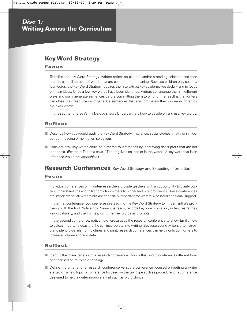## **Key Word Strategy**

#### **Focus**

To utilize the Key Word Strategy, writers reflect on pictures and/or a reading selection and then identify a small number of words that are central to the meaning. Because children only select a few words, the Key Word Strategy requires them to extract key academic vocabulary and to focus on main ideas. Once a few key words have been identified, writers can arrange them in different ways and orally generate sentences before committing them to writing. The result is that writers can close their resources and generate sentences that are completely their own—anchored by their key words.

In this segment, Teresa's think-aloud shows kindergartners how to decide on and use key words.

#### **Reflect**

- Describe how you would apply the Key Word Strategy in science, social studies, math, or in independent reading of nonfiction selections.
- Consider how key words could be elevated to inferences by identifying descriptors that are not in the text. (Example: The text says, "The frog lives on land or in the water." A key word that is an inference would be: amphibian.)

### **Research Conferences** (Key Word Strategy and Extracting Information)

#### **Focus**

Individual conferences with writer-researchers provide teachers with an opportunity to clarify content understandings and to lift nonfiction writers to higher levels of proficiency. These conferences are important for all writers but are especially important for writers who need additional support.

In the first conference, you see Teresa reteaching the Key Word Strategy to lift Samantha's proficiency with the tool. Notice how Samantha reads, records key words on sticky notes, rearranges key vocabulary, and then writes, using her key words as prompts.

In the second conference, notice how Teresa uses the research conference to show Emilio how to select important ideas that he can incorporate into writing. Because young writers often struggle to identify details from pictures and print, research conferences can help nonfiction writers to increase volume and add detail.

- Identify the characteristics of a research conference. How is this kind of conference different from one focused on revision or editing?
- Define the criteria for a research conference versus a conference focused on getting a writer started on a new topic, a conference focused on the text type such as procedure, or a conference designed to help a writer improve a trait such as word choice.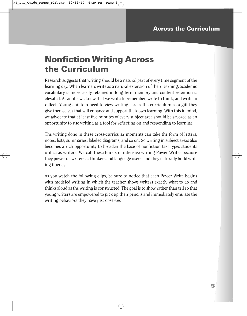# **Nonfiction Writing Across the Curriculum**

Research suggests that writing should be a natural part of every time segment of the learning day. When learners write as a natural extension of their learning, academic vocabulary is more easily retained in long-term memory and content retention is elevated. As adults we know that we write to remember, write to think, and write to reflect. Young children need to view writing across the curriculum as a gift they give themselves that will enhance and support their own learning. With this in mind, we advocate that at least five minutes of every subject area should be savored as an opportunity to use writing as a tool for reflecting on and responding to learning.

The writing done in these cross-curricular moments can take the form of letters, notes, lists, summaries, labeled diagrams, and so on. So writing in subject areas also becomes a rich opportunity to broaden the base of nonfiction text types students utilize as writers. We call these bursts of intensive writing Power Writes because they power up writers as thinkers and language users, and they naturally build writing fluency.

As you watch the following clips, be sure to notice that each Power Write begins with modeled writing in which the teacher shows writers exactly what to do and thinks aloud as the writing is constructed. The goal is to show rather than tell so that young writers are empowered to pick up their pencils and immediately emulate the writing behaviors they have just observed.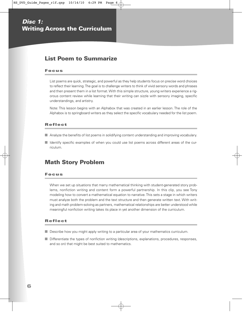## **List Poem to Summarize**

#### **Focus**

List poems are quick, strategic, and powerful as they help students focus on precise word choices to reflect their learning. The goal is to challenge writers to think of vivid sensory words and phrases and then present them in a list format. With this simple structure, young writers experience a rigorous content review while learning that their writing can sizzle with sensory imaging, specific understandings, and artistry.

Note: This lesson begins with an Alphabox that was created in an earlier lesson. The role of the Alphabox is to springboard writers as they select the specific vocabulary needed for the list poem.

#### **Reflect**

- Analyze the benefits of list poems in solidifying content understanding and improving vocabulary.
- Identify specific examples of when you could use list poems across different areas of the curriculum.

### **Math Story Problem**

#### **Focus**

When we set up situations that marry mathematical thinking with student-generated story problems, nonfiction writing and content form a powerful partnership. In this clip, you see Tony modeling how to convert a mathematical equation to narrative. This sets a stage in which writers must analyze both the problem and the text structure and then generate written text. With writing and math problem-solving as partners, mathematical relationships are better understood while meaningful nonfiction writing takes its place in yet another dimension of the curriculum.

- Describe how you might apply writing to a particular area of your mathematics curriculum.
- Differentiate the types of nonfiction writing (descriptions, explanations, procedures, responses, and so on) that might be best suited to mathematics.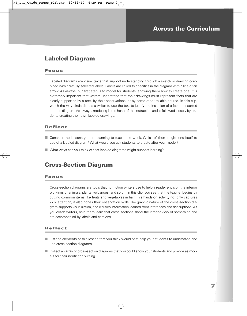## **Labeled Diagram**

#### **Focus**

Labeled diagrams are visual texts that support understanding through a sketch or drawing combined with carefully selected labels. Labels are linked to specifics in the diagram with a line or an arrow. As always, our first step is to model for students, showing them how to create one. It is extremely important that writers understand that their drawings must represent facts that are clearly supported by a text, by their observations, or by some other reliable source. In this clip, watch the way Linda directs a writer to use the text to justify the inclusion of a fact he inserted into the diagram. As always, modeling is the heart of the instruction and is followed closely by students creating their own labeled drawings.

#### **Reflect**

- Consider the lessons you are planning to teach next week. Which of them might lend itself to use of a labeled diagram? What would you ask students to create after your model?
- What ways can you think of that labeled diagrams might support learning?

### **Cross-Section Diagram**

#### **Focus**

Cross-section diagrams are tools that nonfiction writers use to help a reader envision the interior workings of animals, plants, volcanoes, and so on. In this clip, you see that the teacher begins by cutting common items like fruits and vegetables in half. This hands-on activity not only captures kids' attention, it also hones their observation skills. The graphic nature of the cross-section diagram supports visualization, and clarifies information learned from inferences and descriptions. As you coach writers, help them learn that cross sections show the interior view of something and are accompanied by labels and captions.

- List the elements of this lesson that you think would best help your students to understand and use cross-section diagrams.
- Collect an array of cross-section diagrams that you could show your students and provide as models for their nonfiction writing.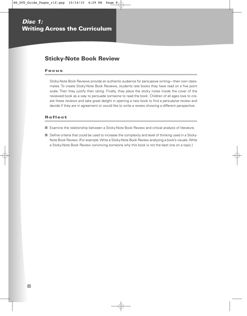## **Sticky-Note Book Review**

#### **Focus**

Sticky-Note Book Reviews provide an authentic audience for persuasive writing—their own classmates. To create Sticky-Note Book Reviews, students rate books they have read on a five point scale. Then they justify their rating. Finally, they place the sticky notes inside the cover of the reviewed book as a way to persuade someone to read the book. Children of all ages love to create these reviews and take great delight in opening a new book to find a persuasive review and decide if they are in agreement or would like to write a review showing a different perspective.

#### **Reflect**

■ Examine the relationship between a Sticky-Note Book Review and critical analysis of literature.

■ Define criteria that could be used to increase the complexity and level of thinking used in a Sticky-Note Book Review. (For example: Write a Sticky-Note Book Review analyzing a book's visuals. Write a Sticky-Note Book Review convincing someone why this book is not the best one on a topic.)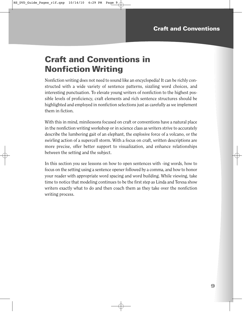# **Craft and Conventions in Nonfiction Writing**

Nonfiction writing does not need to sound like an encyclopedia! It can be richly constructed with a wide variety of sentence patterns, sizzling word choices, and interesting punctuation. To elevate young writers of nonfiction to the highest possible levels of proficiency, craft elements and rich sentence structures should be highlighted and employed in nonfiction selections just as carefully as we implement them in fiction.

With this in mind, minilessons focused on craft or conventions have a natural place in the nonfiction writing workshop or in science class as writers strive to accurately describe the lumbering gait of an elephant, the explosive force of a volcano, or the swirling action of a supercell storm. With a focus on craft, written descriptions are more precise, offer better support to visualization, and enhance relationships between the setting and the subject.

In this section you see lessons on how to open sentences with -ing words, how to focus on the setting using a sentence opener followed by a comma, and how to honor your reader with appropriate word spacing and word building. While viewing, take time to notice that modeling continues to be the first step as Linda and Teresa show writers exactly what to do and then coach them as they take over the nonfiction writing process.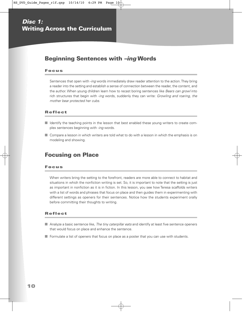## **Beginning Sentences with –ing Words**

#### **Focus**

Sentences that open with -ing words immediately draw reader attention to the action. They bring a reader into the setting and establish a sense of connection between the reader, the content, and the author. When young children learn how to recast boring sentences like Bears can growl into rich structures that begin with -ing words, suddenly they can write: Growling and roaring, the mother bear protected her cubs.

#### **Reflect**

- Identify the teaching points in the lesson that best enabled these young writers to create complex sentences beginning with -ing words.
- Compare a lesson in which writers are told what to do with a lesson in which the emphasis is on modeling and showing.

### **Focusing on Place**

#### **Focus**

When writers bring the setting to the forefront, readers are more able to connect to habitat and situations in which the nonfiction writing is set. So, it is important to note that the setting is just as important in nonfiction as it is in fiction. In this lesson, you see how Teresa scaffolds writers with a list of words and phrases that focus on place and then guides them in experimenting with different settings as openers for their sentences. Notice how the students experiment orally before committing their thoughts to writing.

- Analyze a basic sentence like, The tiny caterpillar eats and identify at least five sentence openers that would focus on place and enhance the sentence.
- Formulate a list of openers that focus on place as a poster that you can use with students.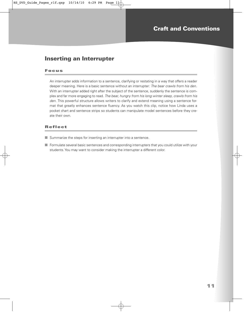## **Inserting an Interrupter**

#### **Focus**

An interrupter adds information to a sentence, clarifying or restating in a way that offers a reader deeper meaning. Here is a basic sentence without an interrupter: The bear crawls from his den. With an interrupter added right after the subject of the sentence, suddenly the sentence is complex and far more engaging to read. The bear, hungry from his long winter sleep, crawls from his den. This powerful structure allows writers to clarify and extend meaning using a sentence format that greatly enhances sentence fluency. As you watch this clip, notice how Linda uses a pocket chart and sentence strips so students can manipulate model sentences before they create their own.

- Summarize the steps for inserting an interrupter into a sentence.
- Formulate several basic sentences and corresponding interrupters that you could utilize with your students. You may want to consider making the interrupter a different color.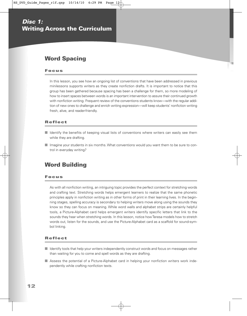## **Word Spacing**

#### **Focus**

In this lesson, you see how an ongoing list of conventions that have been addressed in previous minilessons supports writers as they create nonfiction drafts. It is important to notice that this group has been gathered because spacing has been a challenge for them, so more modeling of how to insert spaces between words is an important intervention to assure their continued growth with nonfiction writing. Frequent review of the conventions students know—with the regular addition of new ones to challenge and enrich writing expression—will keep students' nonfiction writing fresh, alive, and reader-friendly.

#### **Reflect**

- Identify the benefits of keeping visual lists of conventions where writers can easily see them while they are drafting.
- Imagine your students in six months. What conventions would you want them to be sure to control in everyday writing?

## **Word Building**

#### **Focus**

As with all nonfiction writing, an intriguing topic provides the perfect context for stretching words and crafting text. Stretching words helps emergent learners to realize that the same phonetic principles apply in nonfiction writing as in other forms of print in their learning lives. In the beginning stages, spelling accuracy is secondary to helping writers move along using the sounds they know so they can focus on meaning. While word walls and alphabet strips are certainly helpful tools, a Picture-Alphabet card helps emergent writers identify specific letters that link to the sounds they hear when stretching words. In this lesson, notice how Teresa models how to stretch words out, listen for the sounds, and use the Picture-Alphabet card as a scaffold for sound-symbol linking.

- Identify tools that help your writers independently construct words and focus on messages rather than waiting for you to come and spell words as they are drafting.
- Assess the potential of a Picture-Alphabet card in helping your nonfiction writers work independently while crafting nonfiction texts.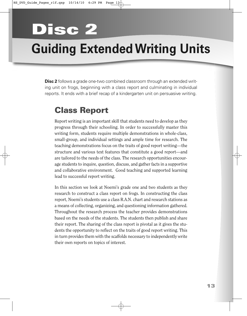# **Disc 2**

# **Guiding Extended Writing Units**

**Disc 2** follows a grade one-two combined classroom through an extended writing unit on frogs, beginning with a class report and culminating in individual reports. It ends with a brief recap of a kindergarten unit on persuasive writing.

# **Class Report**

Report writing is an important skill that students need to develop as they progress through their schooling. In order to successfully master this writing form, students require multiple demonstrations in whole-class, small-group, and individual settings and ample time for research. The teaching demonstrations focus on the traits of good report writing—the structure and various text features that constitute a good report—and are tailored to the needs of the class. The research opportunities encourage students to inquire, question, discuss, and gather facts in a supportive and collaborative environment. Good teaching and supported learning lead to successful report writing.

In this section we look at Noemi's grade one and two students as they research to construct a class report on frogs. In constructing the class report, Noemi's students use a class R.A.N. chart and research stations as a means of collecting, organizing, and questioning information gathered. Throughout the research process the teacher provides demonstrations based on the needs of the students. The students then publish and share their report. The sharing of the class report is pivotal as it gives the students the opportunity to reflect on the traits of good report writing. This in turn provides them with the scaffolds necessary to independently write their own reports on topics of interest.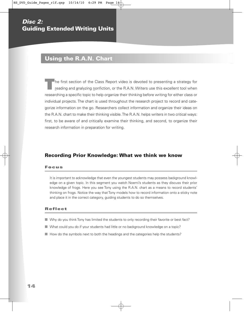## **Using the R.A.N. Chart**

**T**he first section of the Class Report video is devoted to presenting a strategy for reading and analyzing nonfiction, or the R.A.N. Writers use this excellent tool when researching a specific topic to help organize their thinking before writing for either class or individual projects. The chart is used throughout the research project to record and categorize information on the go. Researchers collect information and organize their ideas on the R.A.N. chart to make their thinking visible. The R.A.N. helps writers in two critical ways: first, to be aware of and critically examine their thinking, and second, to organize their research information in preparation for writing.

#### **Recording Prior Knowledge: What we think we know**

#### **Focus**

It is important to acknowledge that even the youngest students may possess background knowledge on a given topic. In this segment you watch Noemi's students as they discuss their prior knowledge of frogs. Here you see Tony using the R.A.N. chart as a means to record students' thinking on frogs. Notice the way that Tony models how to record information onto a sticky note and place it in the correct category, guiding students to do so themselves.

- Why do you think Tony has limited the students to only recording their favorite or best fact?
- What could you do if your students had little or no background knowledge on a topic?
- How do the symbols next to both the headings and the categories help the students?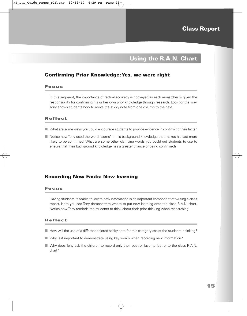## **Using the R.A.N. Chart**

#### **Confirming Prior Knowledge: Yes, we were right**

#### **Focus**

In this segment, the importance of factual accuracy is conveyed as each researcher is given the responsibility for confirming his or her own prior knowledge through research. Look for the way Tony shows students how to move the sticky note from one column to the next.

#### **Reflect**

- What are some ways you could encourage students to provide evidence in confirming their facts?
- Notice how Tony used the word "some" in his background knowledge that makes his fact more likely to be confirmed. What are some other clarifying words you could get students to use to ensure that their background knowledge has a greater chance of being confirmed?

#### **Recording New Facts: New learning**

#### **Focus**

Having students research to locate new information is an important component of writing a class report. Here you see Tony demonstrate where to put new learning onto the class R.A.N. chart. Notice how Tony reminds the students to think about their prior thinking when researching.

- How will the use of a different colored sticky note for this category assist the students' thinking?
- Why is it important to demonstrate using key words when recording new information?
- Why does Tony ask the children to record only their best or favorite fact onto the class R.A.N. chart?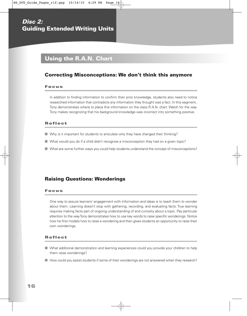## **Disc 2: Guiding Extended Writing Units**

## **Using the R.A.N. Chart**

### **Correcting Misconceptions: We don't think this anymore**

#### **Focus**

In addition to finding information to confirm their prior knowledge, students also need to notice researched information that contradicts any information they thought was a fact. In this segment, Tony demonstrates where to place this information on the class R.A.N. chart. Watch for the way Tony makes recognizing that his background knowledge was incorrect into something positive.

#### **Reflect**

- Why is it important for students to articulate why they have changed their thinking?
- What would you do if a child didn't recognize a misconception they had on a given topic?
- What are some further ways you could help students understand the concept of misconceptions?

#### **Raising Questions: Wonderings**

#### **Focus**

One way to assure learners' engagement with information and ideas is to teach them to wonder about them. Learning doesn't stop with gathering, recording, and evaluating facts. True learning requires making facts part of ongoing understanding of and curiosity about a topic. Pay particular attention to the way Tony demonstrates how to use key words to raise specific wonderings. Notice how he first models how to raise a wondering and then gives students an opportunity to raise their own wonderings.

- What additional demonstration and learning experiences could you provide your children to help them raise wonderings?
- How could you assist students if some of their wonderings are not answered when they research?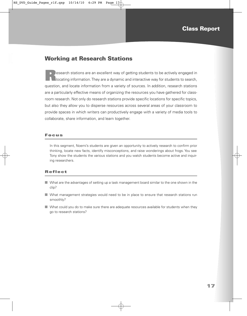## **Working at Research Stations**

**Research stations are an excellent way of getting students to be actively engaged in** locating information. They are a dynamic and interactive way for students to search, question, and locate information from a variety of sources. In addition, research stations are a particularly effective means of organizing the resources you have gathered for classroom research. Not only do research stations provide specific locations for specific topics, but also they allow you to disperse resources across several areas of your classroom to provide spaces in which writers can productively engage with a variety of media tools to collaborate, share information, and learn together.

#### **Focus**

In this segment, Noemi's students are given an opportunity to actively research to confirm prior thinking, locate new facts, identify misconceptions, and raise wonderings about frogs. You see Tony show the students the various stations and you watch students become active and inquiring researchers.

- What are the advantages of setting up a task management board similar to the one shown in the clip?
- What management strategies would need to be in place to ensure that research stations run smoothly?
- What could you do to make sure there are adequate resources available for students when they go to research stations?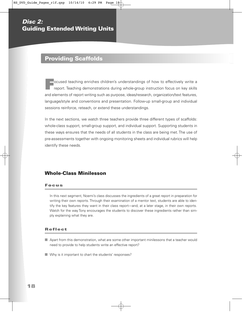## **Providing Scaffolds**

**F**ocused teaching enriches children's understandings of how to effectively write a report. Teaching demonstrations during whole-group instruction focus on key skills and elements of report writing such as purpose, ideas/research, organization/text features, language/style and conventions and presentation. Follow-up small-group and individual sessions reinforce, reteach, or extend these understandings.

In the next sections, we watch three teachers provide three different types of scaffolds: whole-class support, small-group support, and individual support. Supporting students in these ways ensures that the needs of all students in the class are being met. The use of pre-assessments together with ongoing monitoring sheets and individual rubrics will help identify these needs.

### **Whole-Class Minilesson**

#### **Focus**

In this next segment, Noemi's class discusses the ingredients of a great report in preparation for writing their own reports. Through their examination of a mentor text, students are able to identify the key features they want in their class report—and, at a later stage, in their own reports. Watch for the way Tony encourages the students to discover these ingredients rather than simply explaining what they are.

- Apart from this demonstration, what are some other important minilessons that a teacher would need to provide to help students write an effective report?
- Why is it important to chart the students' responses?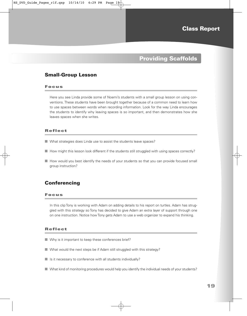## **Providing Scaffolds**

#### **Small-Group Lesson**

#### **Focus**

Here you see Linda provide some of Noemi's students with a small group lesson on using conventions. These students have been brought together because of a common need to learn how to use spaces between words when recording information. Look for the way Linda encourages the students to identify why leaving spaces is so important, and then demonstrates how she leaves spaces when she writes.

#### **Reflect**

- What strategies does Linda use to assist the students leave spaces?
- How might this lesson look different if the students still struggled with using spaces correctly?
- How would you best identify the needs of your students so that you can provide focused small group instruction?

#### **Conferencing**

#### **Focus**

In this clip Tony is working with Adam on adding details to his report on turtles. Adam has struggled with this strategy so Tony has decided to give Adam an extra layer of support through one on one instruction. Notice how Tony gets Adam to use a web organizer to expand his thinking.

- Why is it important to keep these conferences brief?
- What would the next steps be if Adam still struggled with this strategy?
- $\blacksquare$  Is it necessary to conference with all students individually?
- What kind of monitoring procedures would help you identify the individual needs of your students?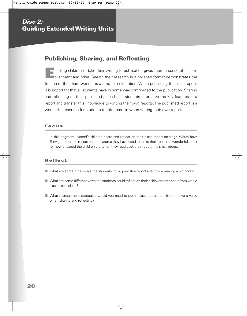## **Publishing, Sharing, and Reflecting**

**E**nabling children to take their writing to publication gives them a sense of accom-<br>plishment and pride. Seeing their research in a polished format demonstrates the fruition of their hard work. It is a time for celebration. When publishing the class report, it is important that all students have in some way contributed to the publication. Sharing and reflecting on their published piece helps students internalize the key features of a report and transfer this knowledge to writing their own reports. The published report is a wonderful resource for students to refer back to when writing their own reports.

#### **Focus**

In this segment, Noemi's children share and reflect on their class report on frogs. Watch how Tony gets them to reflect on the features they have used to make their report so wonderful. Look for how engaged the children are when they read back their report in a small group.

- What are some other ways the students could publish a report apart from making a big book?
- What are some different ways the students could reflect on their achievements apart from whole class discussions?
- What management strategies would you need to put in place so that all children have a voice when sharing and reflecting?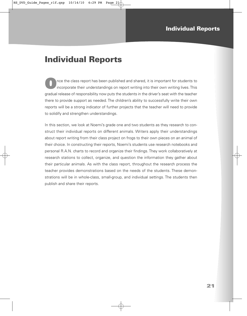## **Individual Reports**

**O**nce the class report has been published and shared, it is important for students to incorporate their understandings on report writing into their own writing lives. This gradual release of responsibility now puts the students in the driver's seat with the teacher there to provide support as needed. The children's ability to successfully write their own reports will be a strong indicator of further projects that the teacher will need to provide to solidify and strengthen understandings.

In this section, we look at Noemi's grade one and two students as they research to construct their individual reports on different animals. Writers apply their understandings about report writing from their class project on frogs to their own pieces on an animal of their choice. In constructing their reports, Noemi's students use research notebooks and personal R.A.N. charts to record and organize their findings. They work collaboratively at research stations to collect, organize, and question the information they gather about their particular animals. As with the class report, throughout the research process the teacher provides demonstrations based on the needs of the students. These demonstrations will be in whole-class, small-group, and individual settings. The students then publish and share their reports.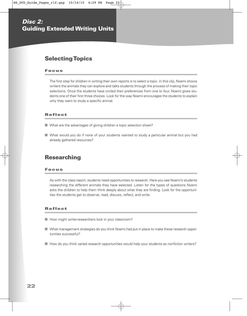## **Selecting Topics**

#### **Focus**

The first step for children in writing their own reports is to select a topic. In this clip, Noemi shows writers the animals they can explore and talks students through the process of making their topic selections. Once the students have circled their preferences from one to four, Noemi gives students one of their first three choices. Look for the way Noemi encourages the students to explain why they want to study a specific animal.

#### **Reflect**

- What are the advantages of giving children a topic selection sheet?
- What would you do if none of your students wanted to study a particular animal but you had already gathered resources?

## **Researching**

#### **Focus**

As with the class report, students need opportunities to research. Here you see Noemi's students researching the different animals they have selected. Listen for the types of questions Noemi asks the children to help them think deeply about what they are finding. Look for the opportunities the students get to observe, read, discuss, reflect, and write.

- How might writer-researchers look in your classroom?
- What management strategies do you think Noemi had put in place to make these research opportunities successful?
- How do you think varied research opportunities would help your students as nonfiction writers?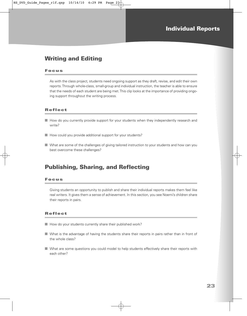## **Writing and Editing**

#### **Focus**

As with the class project, students need ongoing support as they draft, revise, and edit their own reports. Through whole-class, small-group and individual instruction, the teacher is able to ensure that the needs of each student are being met. This clip looks at the importance of providing ongoing support throughout the writing process.

#### **Reflect**

- How do you currently provide support for your students when they independently research and write?
- How could you provide additional support for your students?
- What are some of the challenges of giving tailored instruction to your students and how can you best overcome these challenges?

## **Publishing, Sharing, and Reflecting**

#### **Focus**

Giving students an opportunity to publish and share their individual reports makes them feel like real writers. It gives them a sense of achievement. In this section, you see Noemi's children share their reports in pairs.

- How do your students currently share their published work?
- What is the advantage of having the students share their reports in pairs rather than in front of the whole class?
- What are some questions you could model to help students effectively share their reports with each other?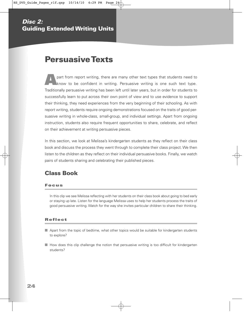## **Persuasive Texts**

**A** part from report writing, there are many other text types that students need to know to be confident in writing. Persuasive writing is one such text type. Traditionally persuasive writing has been left until later years, but in order for students to successfully learn to put across their own point of view and to use evidence to support their thinking, they need experiences from the very beginning of their schooling. As with report writing, students require ongoing demonstrations focused on the traits of good persuasive writing in whole-class, small-group, and individual settings. Apart from ongoing instruction, students also require frequent opportunities to share, celebrate, and reflect on their achievement at writing persuasive pieces.

In this section, we look at Melissa's kindergarten students as they reflect on their class book and discuss the process they went through to complete their class project. We then listen to the children as they reflect on their individual persuasive books. Finally, we watch pairs of students sharing and celebrating their published pieces.

## **Class Book**

#### **Focus**

In this clip we see Melissa reflecting with her students on their class book about going to bed early or staying up late. Listen for the language Melissa uses to help her students process the traits of good persuasive writing. Watch for the way she invites particular children to share their thinking.

- Apart from the topic of bedtime, what other topics would be suitable for kindergarten students to explore?
- How does this clip challenge the notion that persuasive writing is too difficult for kindergarten students?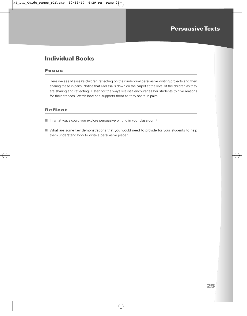## **Individual Books**

#### **Focus**

Here we see Melissa's children reflecting on their individual persuasive writing projects and then sharing these in pairs. Notice that Melissa is down on the carpet at the level of the children as they are sharing and reflecting. Listen for the ways Melissa encourages her students to give reasons for their stances. Watch how she supports them as they share in pairs.

- In what ways could you explore persuasive writing in your classroom?
- What are some key demonstrations that you would need to provide for your students to help them understand how to write a persuasive piece?